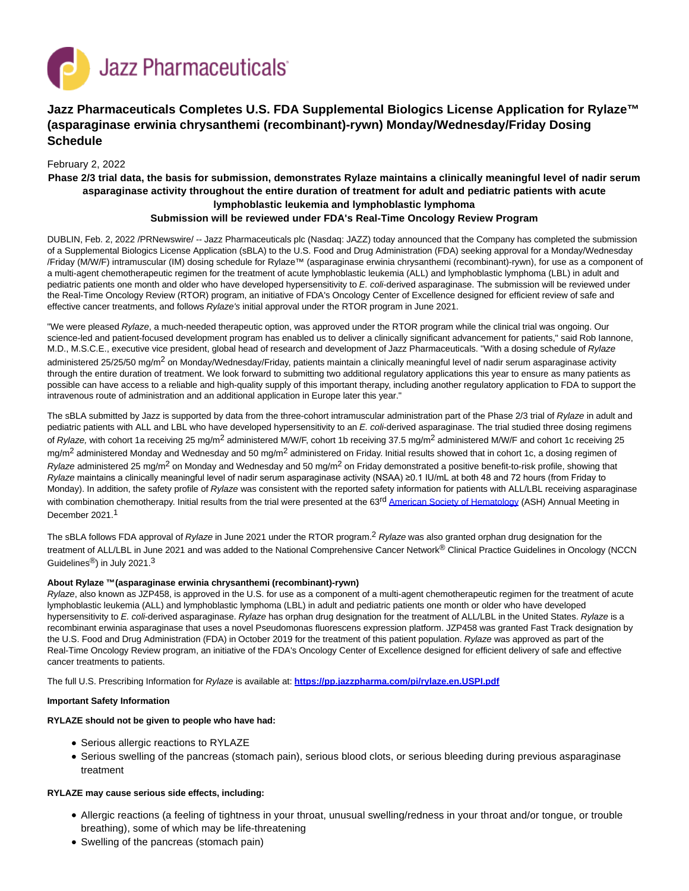

# **Jazz Pharmaceuticals Completes U.S. FDA Supplemental Biologics License Application for Rylaze™ (asparaginase erwinia chrysanthemi (recombinant)-rywn) Monday/Wednesday/Friday Dosing Schedule**

## February 2, 2022

# **Phase 2/3 trial data, the basis for submission, demonstrates Rylaze maintains a clinically meaningful level of nadir serum asparaginase activity throughout the entire duration of treatment for adult and pediatric patients with acute lymphoblastic leukemia and lymphoblastic lymphoma Submission will be reviewed under FDA's Real-Time Oncology Review Program**

DUBLIN, Feb. 2, 2022 /PRNewswire/ -- Jazz Pharmaceuticals plc (Nasdaq: JAZZ) today announced that the Company has completed the submission of a Supplemental Biologics License Application (sBLA) to the U.S. Food and Drug Administration (FDA) seeking approval for a Monday/Wednesday /Friday (M/W/F) intramuscular (IM) dosing schedule for Rylaze™ (asparaginase erwinia chrysanthemi (recombinant)-rywn), for use as a component of a multi-agent chemotherapeutic regimen for the treatment of acute lymphoblastic leukemia (ALL) and lymphoblastic lymphoma (LBL) in adult and pediatric patients one month and older who have developed hypersensitivity to E. coli-derived asparaginase. The submission will be reviewed under the Real-Time Oncology Review (RTOR) program, an initiative of FDA's Oncology Center of Excellence designed for efficient review of safe and effective cancer treatments, and follows Rylaze's initial approval under the RTOR program in June 2021.

"We were pleased Rylaze, a much-needed therapeutic option, was approved under the RTOR program while the clinical trial was ongoing. Our science-led and patient-focused development program has enabled us to deliver a clinically significant advancement for patients," said Rob Iannone, M.D., M.S.C.E., executive vice president, global head of research and development of Jazz Pharmaceuticals. "With a dosing schedule of Rylaze administered 25/25/50 mg/m<sup>2</sup> on Monday/Wednesday/Friday, patients maintain a clinically meaningful level of nadir serum asparaginase activity through the entire duration of treatment. We look forward to submitting two additional regulatory applications this year to ensure as many patients as possible can have access to a reliable and high-quality supply of this important therapy, including another regulatory application to FDA to support the intravenous route of administration and an additional application in Europe later this year."

The sBLA submitted by Jazz is supported by data from the three-cohort intramuscular administration part of the Phase 2/3 trial of Rylaze in adult and pediatric patients with ALL and LBL who have developed hypersensitivity to an E. coli-derived asparaginase. The trial studied three dosing regimens of Rylaze, with cohort 1a receiving 25 mg/m<sup>2</sup> administered M/W/F, cohort 1b receiving 37.5 mg/m<sup>2</sup> administered M/W/F and cohort 1c receiving 25 mg/m<sup>2</sup> administered Monday and Wednesday and 50 mg/m<sup>2</sup> administered on Friday. Initial results showed that in cohort 1c, a dosing regimen of Rylaze administered 25 mg/m<sup>2</sup> on Monday and Wednesday and 50 mg/m<sup>2</sup> on Friday demonstrated a positive benefit-to-risk profile, showing that Rylaze maintains a clinically meaningful level of nadir serum asparaginase activity (NSAA) ≥0.1 IU/mL at both 48 and 72 hours (from Friday to Monday). In addition, the safety profile of Rylaze was consistent with the reported safety information for patients with ALL/LBL receiving asparaginase with combination chemotherapy. Initial results from the trial were presented at the 63<sup>rd</sup> [American Society of Hematology \(](https://c212.net/c/link/?t=0&l=en&o=3428913-1&h=907413669&u=https%3A%2F%2Fash.confex.com%2Fash%2F2021%2Fwebprogram%2FPaper147023.html&a=American+Society+of+Hematology)ASH) Annual Meeting in December 2021. 1

The sBLA follows FDA approval of Rylaze in June 2021 under the RTOR program.<sup>2</sup> Rylaze was also granted orphan drug designation for the treatment of ALL/LBL in June 2021 and was added to the National Comprehensive Cancer Network® Clinical Practice Guidelines in Oncology (NCCN Guidelines<sup>®</sup>) in July 2021.<sup>3</sup>

## **About Rylaze ™(asparaginase erwinia chrysanthemi (recombinant)-rywn)**

Rylaze, also known as JZP458, is approved in the U.S. for use as a component of a multi-agent chemotherapeutic regimen for the treatment of acute lymphoblastic leukemia (ALL) and lymphoblastic lymphoma (LBL) in adult and pediatric patients one month or older who have developed hypersensitivity to E. coli-derived asparaginase. Rylaze has orphan drug designation for the treatment of ALL/LBL in the United States. Rylaze is a recombinant erwinia asparaginase that uses a novel Pseudomonas fluorescens expression platform. JZP458 was granted Fast Track designation by the U.S. Food and Drug Administration (FDA) in October 2019 for the treatment of this patient population. Rylaze was approved as part of the Real-Time Oncology Review program, an initiative of the FDA's Oncology Center of Excellence designed for efficient delivery of safe and effective cancer treatments to patients.

The full U.S. Prescribing Information for Rylaze is available at: **[https://pp.jazzpharma.com/pi/rylaze.en.USPI.pdf](https://c212.net/c/link/?t=0&l=en&o=3428913-1&h=1964664117&u=https%3A%2F%2Fpp.jazzpharma.com%2Fpi%2Frylaze.en.USPI.pdf&a=https%3A%2F%2Fpp.jazzpharma.com%2Fpi%2Frylaze.en.USPI.pdf)**

#### **Important Safety Information**

#### **RYLAZE should not be given to people who have had:**

- Serious allergic reactions to RYLAZE
- Serious swelling of the pancreas (stomach pain), serious blood clots, or serious bleeding during previous asparaginase treatment

#### **RYLAZE may cause serious side effects, including:**

- Allergic reactions (a feeling of tightness in your throat, unusual swelling/redness in your throat and/or tongue, or trouble breathing), some of which may be life-threatening
- Swelling of the pancreas (stomach pain)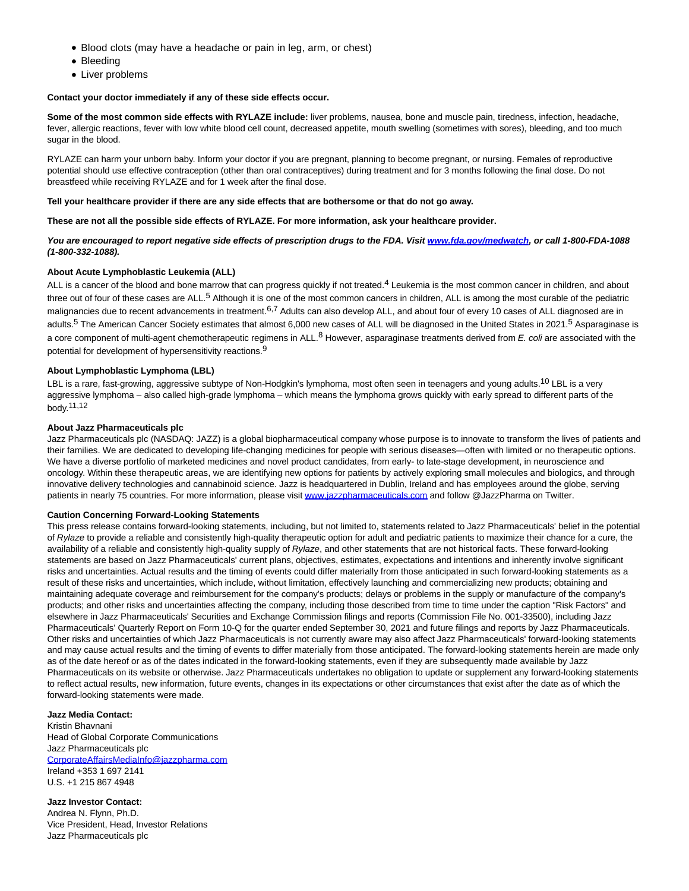- Blood clots (may have a headache or pain in leg, arm, or chest)
- Bleeding
- Liver problems

#### **Contact your doctor immediately if any of these side effects occur.**

**Some of the most common side effects with RYLAZE include:** liver problems, nausea, bone and muscle pain, tiredness, infection, headache, fever, allergic reactions, fever with low white blood cell count, decreased appetite, mouth swelling (sometimes with sores), bleeding, and too much sugar in the blood.

RYLAZE can harm your unborn baby. Inform your doctor if you are pregnant, planning to become pregnant, or nursing. Females of reproductive potential should use effective contraception (other than oral contraceptives) during treatment and for 3 months following the final dose. Do not breastfeed while receiving RYLAZE and for 1 week after the final dose.

#### **Tell your healthcare provider if there are any side effects that are bothersome or that do not go away.**

**These are not all the possible side effects of RYLAZE. For more information, ask your healthcare provider.**

**You are encouraged to report negative side effects of prescription drugs to the FDA. Visit [www.fda.gov/medwatch,](https://c212.net/c/link/?t=0&l=en&o=3428913-1&h=2287567969&u=http%3A%2F%2Fwww.fda.gov%2Fmedwatch&a=www.fda.gov%2Fmedwatch) or call 1-800-FDA-1088 (1-800-332-1088).**

#### **About Acute Lymphoblastic Leukemia (ALL)**

ALL is a cancer of the blood and bone marrow that can progress quickly if not treated.<sup>4</sup> Leukemia is the most common cancer in children, and about three out of four of these cases are ALL.<sup>5</sup> Although it is one of the most common cancers in children, ALL is among the most curable of the pediatric malignancies due to recent advancements in treatment.<sup>6,7</sup> Adults can also develop ALL, and about four of every 10 cases of ALL diagnosed are in adults.<sup>5</sup> The American Cancer Society estimates that almost 6,000 new cases of ALL will be diagnosed in the United States in 2021.<sup>5</sup> Asparaginase is a core component of multi-agent chemotherapeutic regimens in ALL.<sup>8</sup> However, asparaginase treatments derived from E. coli are associated with the potential for development of hypersensitivity reactions.<sup>9</sup>

#### **About Lymphoblastic Lymphoma (LBL)**

LBL is a rare, fast-growing, aggressive subtype of Non-Hodgkin's lymphoma, most often seen in teenagers and young adults.<sup>10</sup> LBL is a verv aggressive lymphoma – also called high-grade lymphoma – which means the lymphoma grows quickly with early spread to different parts of the body.11,12

#### **About Jazz Pharmaceuticals plc**

Jazz Pharmaceuticals plc (NASDAQ: JAZZ) is a global biopharmaceutical company whose purpose is to innovate to transform the lives of patients and their families. We are dedicated to developing life-changing medicines for people with serious diseases—often with limited or no therapeutic options. We have a diverse portfolio of marketed medicines and novel product candidates, from early- to late-stage development, in neuroscience and oncology. Within these therapeutic areas, we are identifying new options for patients by actively exploring small molecules and biologics, and through innovative delivery technologies and cannabinoid science. Jazz is headquartered in Dublin, Ireland and has employees around the globe, serving patients in nearly 75 countries. For more information, please visi[t www.jazzpharmaceuticals.com a](https://c212.net/c/link/?t=0&l=en&o=3428913-1&h=850343909&u=http%3A%2F%2Fwww.jazzpharmaceuticals.com%2F&a=www.jazzpharmaceuticals.com)nd follow @JazzPharma on Twitter.

#### **Caution Concerning Forward-Looking Statements**

This press release contains forward-looking statements, including, but not limited to, statements related to Jazz Pharmaceuticals' belief in the potential of Rylaze to provide a reliable and consistently high-quality therapeutic option for adult and pediatric patients to maximize their chance for a cure, the availability of a reliable and consistently high-quality supply of Rylaze, and other statements that are not historical facts. These forward-looking statements are based on Jazz Pharmaceuticals' current plans, objectives, estimates, expectations and intentions and inherently involve significant risks and uncertainties. Actual results and the timing of events could differ materially from those anticipated in such forward-looking statements as a result of these risks and uncertainties, which include, without limitation, effectively launching and commercializing new products; obtaining and maintaining adequate coverage and reimbursement for the company's products; delays or problems in the supply or manufacture of the company's products; and other risks and uncertainties affecting the company, including those described from time to time under the caption "Risk Factors" and elsewhere in Jazz Pharmaceuticals' Securities and Exchange Commission filings and reports (Commission File No. 001-33500), including Jazz Pharmaceuticals' Quarterly Report on Form 10-Q for the quarter ended September 30, 2021 and future filings and reports by Jazz Pharmaceuticals. Other risks and uncertainties of which Jazz Pharmaceuticals is not currently aware may also affect Jazz Pharmaceuticals' forward-looking statements and may cause actual results and the timing of events to differ materially from those anticipated. The forward-looking statements herein are made only as of the date hereof or as of the dates indicated in the forward-looking statements, even if they are subsequently made available by Jazz Pharmaceuticals on its website or otherwise. Jazz Pharmaceuticals undertakes no obligation to update or supplement any forward-looking statements to reflect actual results, new information, future events, changes in its expectations or other circumstances that exist after the date as of which the forward-looking statements were made.

**Jazz Media Contact:** Kristin Bhavnani Head of Global Corporate Communications Jazz Pharmaceuticals plc [CorporateAffairsMediaInfo@jazzpharma.com](mailto:CorporateAffairsMediaInfo@jazzpharma.com) Ireland +353 1 697 2141 U.S. +1 215 867 4948

**Jazz Investor Contact:** Andrea N. Flynn, Ph.D. Vice President, Head, Investor Relations Jazz Pharmaceuticals plc